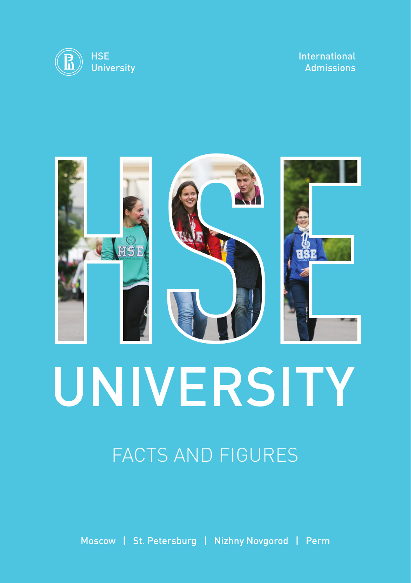

#### International Admissions



# FACTS AND FIGURES

Moscow | St. Petersburg | Nizhny Novgorod | Perm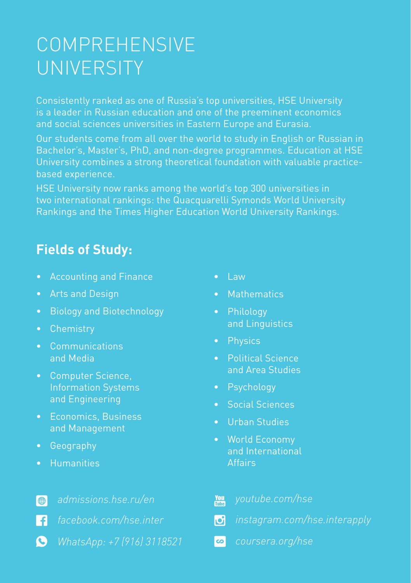# COMPREHENSIVE UNIVERSITY

Consistently ranked as one of Russia's top universities, HSE University is a leader in Russian education and one of the preeminent economics and social sciences universities in Eastern Europe and Eurasia.

Our students come from all over the world to study in English or Russian in Bachelor's, Master's, PhD, and non-degree programmes. Education at HSE University combines a strong theoretical foundation with valuable practicebased experience.

HSE University now ranks among the world's top 300 universities in two international rankings: the Quacquarelli Symonds World University Rankings and the Times Higher Education World University Rankings.

#### **Fields of Study:**

- Accounting and Finance
- Arts and Design
- Biology and Biotechnology
- Chemistry
- Communications and Media
- Computer Science, Information Systems and Engineering
- Economics, Business and Management
- Geography
- Humanities
- $\bigoplus$ *[admissions.hse.ru/en](https://admissions.hse.ru/en)*
- n *[facebook.com/hse.inter](https://www.facebook.com/hse.inter)*
- $\bullet$ *WhatsApp: +7 (916) 3118521*
- $\bullet$  Law
- Mathematics
- Philology and Linguistics
- Physics
- Political Science and Area Studies
- Psychology
- Social Sciences
- Urban Studies
- World Economy and International **Affairs**

| <b>You</b> youtube.com/hse     |
|--------------------------------|
| o instagram.com/hse.interapply |
| coursera.org/hse               |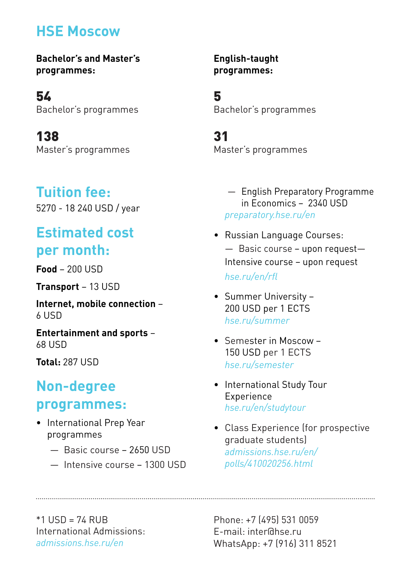#### **HSE Moscow**

**Bachelor's and Master's programmes:** 

54 Bachelor's programmes

138 Master's programmes

#### **Tuition fee:**

5270 - 18 240 USD / year

## **Estimated cost per month:**

**Food** – 200 USD

**Transport** – 13 USD

**Internet, mobile connection** –  $61$ ISD

**Entertainment and sports** – 68 USD

**Total:** 287 USD

#### **Non-degree programmes:**

- International Prep Year programmes
	- Basic course 2650 USD
	- Intensive course 1300 USD

**English-taught programmes:**

5 Bachelor's programmes

31 Master's programmes

> — English Preparatory Programme in Economics – 2340 USD *preparatory.hse.ru/en*

- Russian Language Courses: — Basic course – upon request— Intensive course – upon request *[hse.ru/en/rfl](https://www.hse.ru/en/rfl)*
- Summer University 200 USD per 1 ECTS *[hse.ru/summer](https://www.hse.ru/international/summer/)*
- Semester in Moscow 150 USD per 1 ECTS *[hse.ru/semester](https://www.hse.ru/international/semester)*
- International Study Tour Experience *[hse.ru/en/studytour](https://www.hse.ru/en/studytour)*
- Class Experience (for prospective graduate students) *[admissions.hse.ru/en/](https://admissions.hse.ru/en/polls/410020256.html) polls/410020256.html*

 $*1$  USD = 74 RUB International Admissions: *[admissions.hse.ru/en](https://admissions.hse.ru/en)*

Phone: +7 (495) 531 0059 E-mail: inter@hse.ru WhatsApp: +7 (916) 311 8521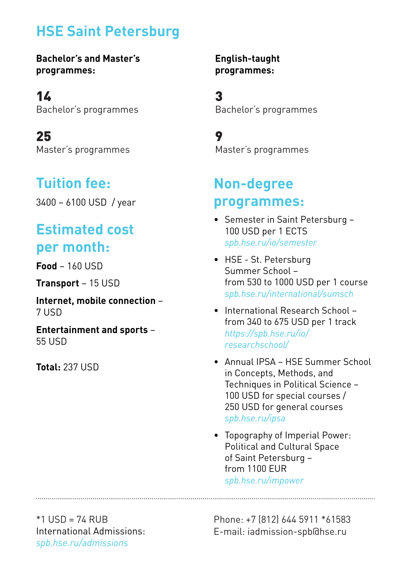#### **HSE Saint Petersburg**

**Bachelor's and Master's programmes:** 

14 Bachelor's programmes

25 Master's programmes

### **Tuition fee:**

3400 – 6100 USD / year

## **Estimated cost per month:**

**Food** – 160 USD

**Transport** – 15 USD

**Internet, mobile connection** – 7 USD

**Entertainment and sports** – 55 USD

**Total:** 237 USD

**English-taught programmes:**

3 Bachelor's programmes

9 Master's programmes

#### **Non-degree programmes:**

- Semester in Saint Petersburg 100 USD per 1 ECTS *[spb.hse.ru/io/semester](https://spb.hse.ru/io/semester)*
- HSE St. Petersburg Summer School – from 530 to 1000 USD per 1 course *[spb.hse.ru/international/sumsch](https://spb.hse.ru/io/sumsch/)*
- International Research School from 340 to 675 USD per 1 track *[https://spb.hse.ru/io/](https://spb.hse.ru/io/researchschool/) researchschool/*
- Annual IPSA HSE Summer School in Concepts, Methods, and Techniques in Political Science – 100 USD for special courses / 250 USD for general courses *[spb.hse.ru/ipsa](https://spb.hse.ru/ipsa)*
- Topography of Imperial Power: Political and Cultural Space of Saint Petersburg – from 1100 EUR *[spb.hse.ru/impower](http://spb.hse.ru/impower)*

 $*1$  USD = 74 RUB International Admissions: *[spb.hse.ru/admissions](https://spb.hse.ru/admissions)*

Phone: +7 (812) 644 5911 \*61583 E-mail: iadmission-spb@hse.ru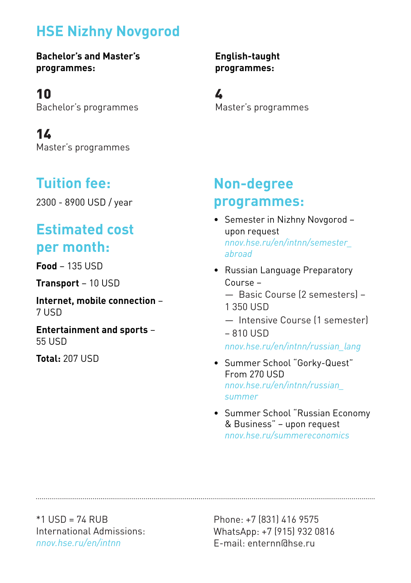## **HSE Nizhny Novgorod**

**Bachelor's and Master's programmes:** 

10 Bachelor's programmes

14 Master's programmes

## **Tuition fee:**

2300 - 8900 USD / year

## **Estimated cost per month:**

**Food** – 135 USD

**Transport** – 10 USD

**Internet, mobile connection** – 7 USD

**Entertainment and sports** – 55 USD

**Total:** 207 USD

**English-taught programmes:**

4 Master's programmes

#### **Non-degree programmes:**

- Semester in Nizhny Novgorod upon request *[nnov.hse.ru/en/intnn/semester\\_](https://nnov.hse.ru/en/intnn/semester_abroad) abroad*
- Russian Language Preparatory Course –
	- Basic Course (2 semesters) 1 350 USD
	- Intensive Course (1 semester) – 810 USD

*[nnov.hse.ru/en/intnn/russian\\_lang](https://nnov.hse.ru/en/intnn/russian_lang)*

- Summer School "Gorky-Quest" From 270 USD *[nnov.hse.ru/en/intnn/russian\\_](https://nnov.hse.ru/en/intnn/russian_summer) summer*
- Summer School "Russian Economy & Business" – upon request *[nnov.hse.ru/summereconomics](https://nnov.hse.ru/summereconomics)*

 $*1$  USD = 74 RUB International Admissions: *[nnov.hse.ru/en/intnn](https://nnov.hse.ru/en/intnn)*

Phone: +7 (831) 416 9575 WhatsApp: +7 (915) 932 0816 E-mail: enternn@hse.ru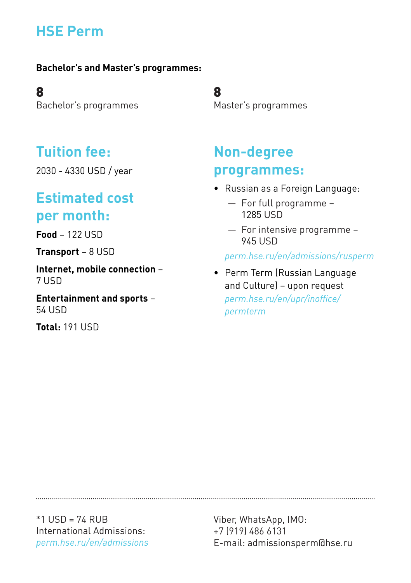## **HSE Perm**

#### **Bachelor's and Master's programmes:**

8 Bachelor's programmes

#### **Tuition fee:**

2030 - 4330 USD / year

#### **Estimated cost per month:**

**Food** – 122 USD

**Transport** – 8 USD

**Internet, mobile connection** – 7 USD

**Entertainment and sports** – 54 USD

**Total:** 191 USD

8 Master's programmes

#### **Non-degree programmes:**

- Russian as a Foreign Language:
	- For full programme 1285 USD
	- For intensive programme 945 USD

*[perm.hse.ru/en/admissions/rusperm](https://perm.hse.ru/en/admissions/rusperm)*

• Perm Term (Russian Language and Culture) – upon request *[perm.hse.ru/en/upr/inoffice/](https://perm.hse.ru/en/upr/inoffice/permterm) permterm*

\*1 USD = 74 RUB International Admissions: *[perm.hse.ru/en/admissions](https://perm.hse.ru/en/admissions)*

Viber, WhatsApp, IMO: +7 (919) 486 6131 E-mail: admissionsperm@hse.ru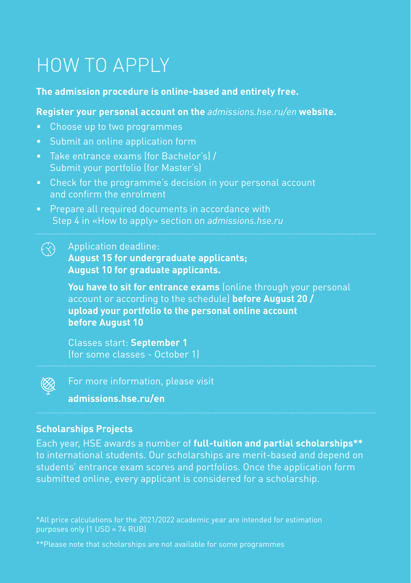# HOW TO APPLY

#### **The admission procedure is online-based and entirely free.**

#### **Register your personal account on the** *[admissions.hse.ru/en](https://admissions.hse.ru/en)* **website.**

- Choose up to two programmes
- Submit an online application form
- Take entrance exams (for Bachelor's) / Submit your portfolio (for Master's)
- Check for the programme's decision in your personal account and confirm the enrolment
- Prepare all required documents in accordance with Step 4 in «How to apply» section on *admissions.hse.ru*

#### $\curvearrowleft$ Application deadline:

**August 15 for undergraduate applicants; August 10 for graduate applicants.**

**You have to sit for entrance exams** (online through your personal account or according to the schedule) **before August 20 / upload your portfolio to the personal online account before August 10**

Classes start: **September 1** (for some classes - October 1)



For more information, please visit **admissions.hse.ru/en**

#### **Scholarships Projects**

Each year, HSE awards a number of **full-tuition and partial scholarships\*\*** to international students. Our scholarships are merit-based and depend on students' entrance exam scores and portfolios. Once the application form submitted online, every applicant is considered for a scholarship.

\*All price calculations for the 2021/2022 academic year are intended for estimation purposes only (1 USD = 74 RUB)

\*\*Please note that scholarships are not available for some programmes